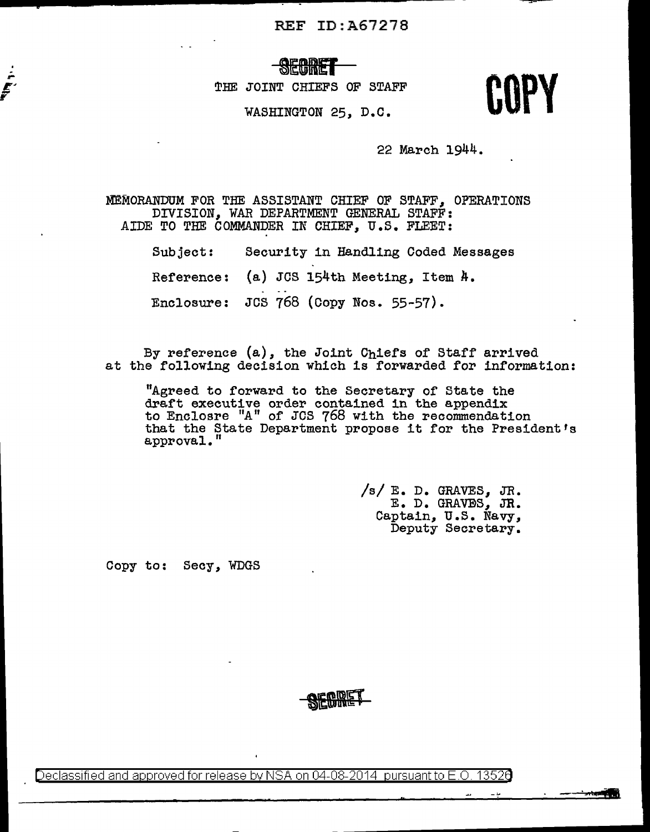# *<u>POLE III.IMIC</u>*

THE JOINT CHIEFS OF STAFF

JOINT CHIEFS OF STAFF **COPY**<br>WASHINGTON 25, D.C. **COPY** 

22 March 1944.

MEMORANDUM FOR THE ASSISTANT CHIEF OF STAFF, OPERATIONS DIVISION, WAR DEPARTMENT GENERAL STAFF: AIDE TO THE COMMANDER IN CHIEF, U.S. FLEET:

> Subject: Security in Handling Coded Messages Reference: (a) JCS 154th Meeting, Item A. Enclosure: JCS 768 (Copy Nos. 55-57).

By reference (a), the Joint Chiefs of Staff arrived at the following decision which is forwarded for information:

"Agreed to forward to the Secretary of State the draft executive order contained in the appendix to Enclosre "A" of JCS 768 with the recommendation that the State Department propose it for the President's approval."

> $/s/ E. D.$  GRAVES, JR. E. D. GRAVES, JR. Captain, U.S. Navy,<br>Deputy Secretary.

Copy to: Secy, WDGS

 $\frac{1}{r}$ 

Declassified and approved for release by NSA on 04-08-2014 pursuantto E.O. 1352a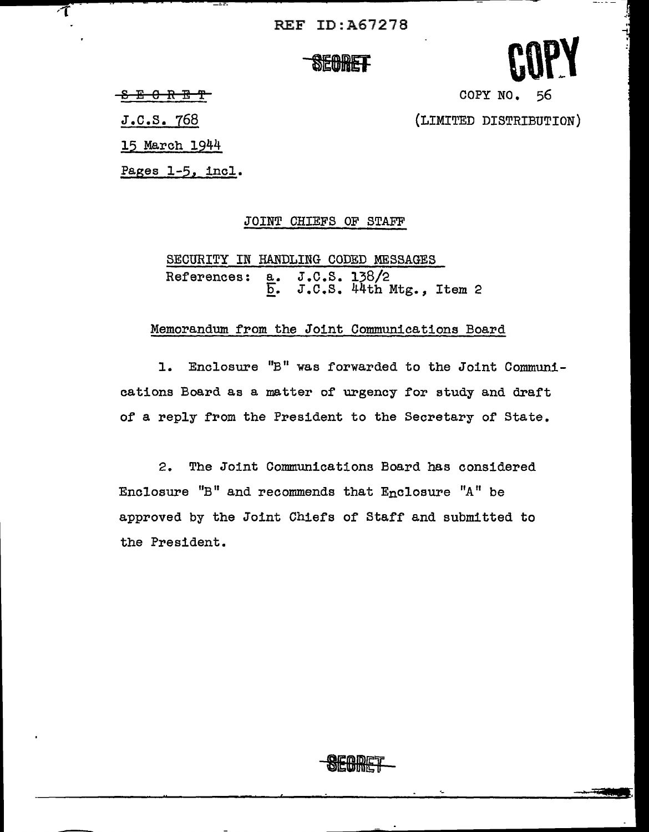**SECRET** 



8 E 0 *R* E 'f

 $\overline{\tau}$ 

J.c.s. 768

15 March 1944

Pages 1-5, incl.

#### JOINT CHIEFS OF STAFF

SECURITY IN HANDLING CODED MESSAGES References: a. J.C.S. 138/2  $\frac{a}{b}$ . J.C.S. 44th Mtg., Item 2

#### Memorandum from the Joint Communications Board

1. Enclosure "B" was forwarded to the Joint Communications Board as a matter of urgency for study and draft of a reply from the President to the Secretary of State.

2. The Joint Communications Board has considered Enclosure "B" and recommends that Enclosure "A" be approved by the Joint Chiefs of Staff and submitted to the President.



{LIMITED DISTRIBUTION)

COPY NO. 56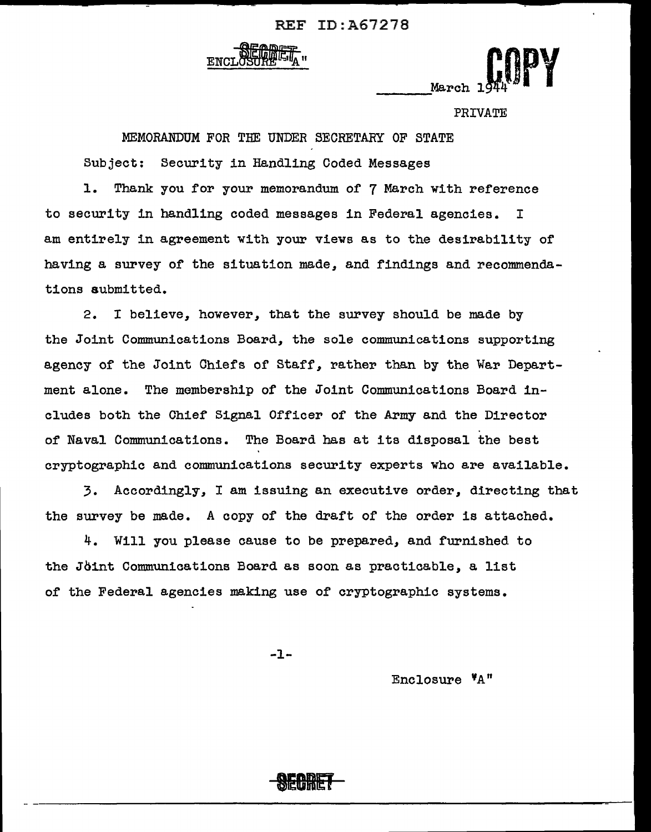



PRIVATE

MEMORANDUM FOR THE UNDER SECRETARY OF STATE Subject: Security in Handling Coded Messages 1. Thank you for your memorandum of 7 March with reference to security in handling coded messages in Federal agencies. I

am entirely in agreement with your views as to the desirability of having a survey of the situation made, and findings and recommendations submitted.

2. I believe, however, that the survey should be made by the Joint Communications Board, the sole communications supporting agency of the Joint Chiefs of Staff, rather than by the War Department alone. The membership of the Joint Communications Board includes both the Chief Signal Officer of the Army and the Director of Naval Communications. The Board has at its disposal the best cryptographic and communications security experts who are available.

3. Accordingly, I am issuing an executive order, directing that the survey be made. A copy of the draft of the order is attached.

4. Will you please cause to be prepared, and furnished to the Jbint Communications Board as soon as practicable, a list of the Federal agencies making use of cryptographic systems.

-1-

Enclosure 'A"

**DEQILET**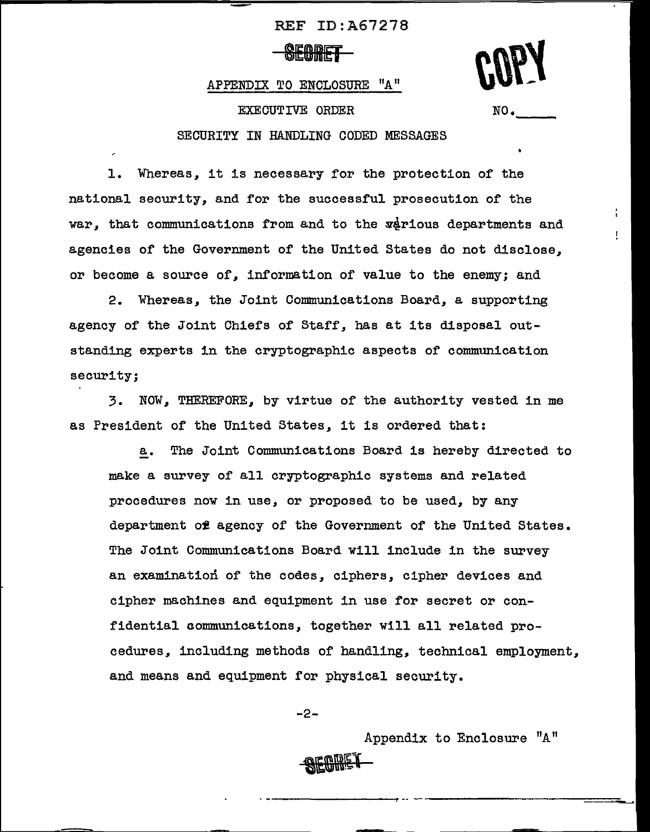**ØEQIMET** 

APPENDIX TO ENCLOSURE "A"

EXECUTIVE ORDER

 $NO<sub>•</sub>$ 

#### SECURITY IN HANDLING CODED MESSAGES

1. Whereas, it is necessary for the protection or the national security, and for the successful prosecution of the war, that communications from and to the various departments and agencies of the Government of the United States do not disclose, or become a source of, information of value to the enemy; and

2. Whereas, the Joint Communications Board, a supporting agency of the Joint Chiefs of Staff, has at its disposal outstanding experts in the cryptographic aspects of communication security;

3. NOW, THEREFORE, by virtue of the authority vested in me as President of the United States, it is ordered that:

a. The Joint Communications Board is hereby directed to make a survey of all cryptographic systems and related procedures now in use, or proposed to be used, by any department of agency of the Government of the United States. The Joint Communications Board will include in the survey an examination of the codes, ciphers, cipher devices and cipher machines and equipment in use for secret or confidential communications, together will all related procedures, including methods of handling, technical employment, and means and equipment for physical security.

-2-

Appendix to Enclosure "A"

**SEQMET**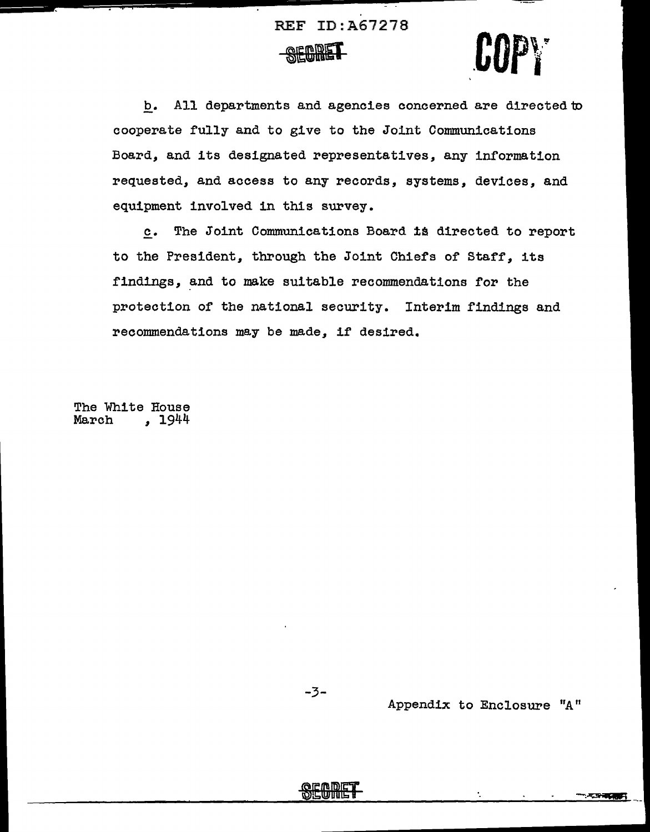



b. All departments and agencies concerned are directed to cooperate fully and to give to the Joint Communications Board, and its designated representatives, any information requested, and access to any records, systems, devices, and equipment involved in this survey.

£• The Joint Communications Board 1\$ directed to report to the President, through the Joint Chiefs of Starr, its findings, and to make suitable recommendations for the protection or the national security. Interim findings and recommendations may be made, if desired.

The White House<br>March , 1944 March *,* 1944

-3-

Appendix to Enclosure "A"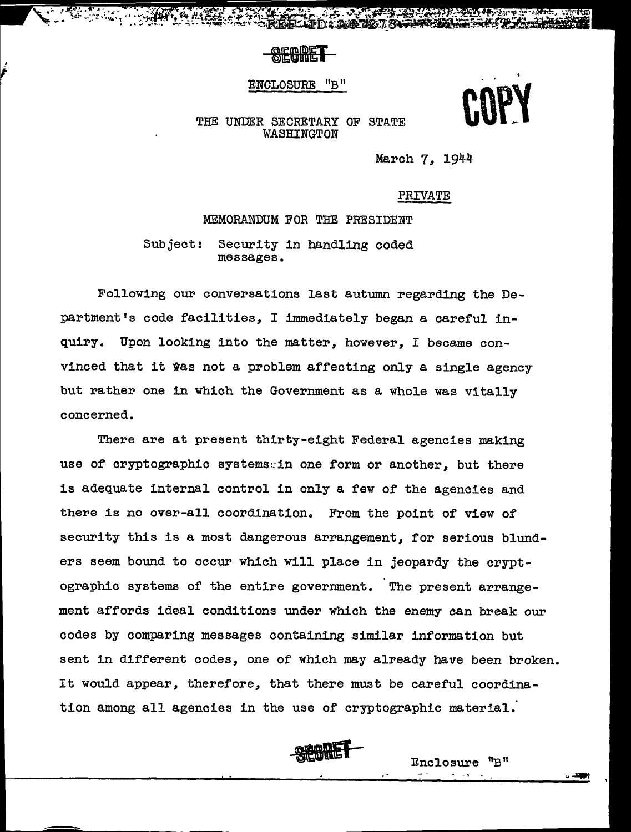**SECDET** 

ENCLOSURE "B"



#### THE UNDER SECRETARY OF STATE **WASHINGTON**

March 7, 1944

PRIVATE

MEMORANDUM FOR THE PRESIDENT Subject: Security in handling coded messages.

Following our conversations last autumn regarding the Department's code facilities, I immediately began a careful inquiry. Upon looking into the matter, however, I became convinced that it was not a problem affecting only a single agency but rather one in which the Government as a whole was vitally concerned.

There are at present thirty-eight Federal agencies making use of cryptographic systems:in one form or another, but there is adequate internal control in only a few of the agencies and there is no over-all coordination. From the point of view of security this is a most dangerous arrangement, for serious blunders seem bound to occur which will place in jeopardy the cryptographic systems of the entire government. The present arrangement affords ideal conditions under which the enemy can break our codes by comparing messages containing similar information but sent in different codes, one of which may already have been broken. It would appear, therefore, that there must be careful coordination among all agencies in the use of cryptographic material.



Enclosure "B 11